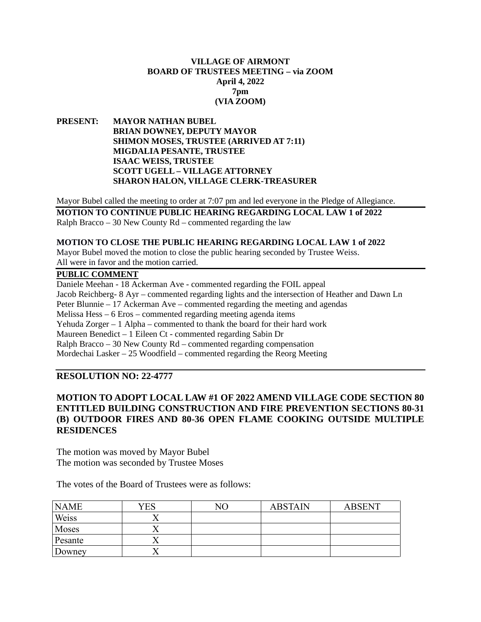## **VILLAGE OF AIRMONT BOARD OF TRUSTEES MEETING – via ZOOM April 4, 2022 7pm (VIA ZOOM)**

**PRESENT: MAYOR NATHAN BUBEL BRIAN DOWNEY, DEPUTY MAYOR SHIMON MOSES, TRUSTEE (ARRIVED AT 7:11) MIGDALIA PESANTE, TRUSTEE ISAAC WEISS, TRUSTEE SCOTT UGELL – VILLAGE ATTORNEY SHARON HALON, VILLAGE CLERK-TREASURER**

Mayor Bubel called the meeting to order at 7:07 pm and led everyone in the Pledge of Allegiance.

**MOTION TO CONTINUE PUBLIC HEARING REGARDING LOCAL LAW 1 of 2022** Ralph Bracco – 30 New County Rd – commented regarding the law

#### **MOTION TO CLOSE THE PUBLIC HEARING REGARDING LOCAL LAW 1 of 2022**

Mayor Bubel moved the motion to close the public hearing seconded by Trustee Weiss. All were in favor and the motion carried.

## **PUBLIC COMMENT**

Daniele Meehan - 18 Ackerman Ave - commented regarding the FOIL appeal Jacob Reichberg- 8 Ayr – commented regarding lights and the intersection of Heather and Dawn Ln Peter Blunnie – 17 Ackerman Ave – commented regarding the meeting and agendas Melissa Hess – 6 Eros – commented regarding meeting agenda items Yehuda Zorger – 1 Alpha – commented to thank the board for their hard work Maureen Benedict – 1 Eileen Ct - commented regarding Sabin Dr Ralph Bracco – 30 New County Rd – commented regarding compensation Mordechai Lasker – 25 Woodfield – commented regarding the Reorg Meeting

## **RESOLUTION NO: 22-4777**

# **MOTION TO ADOPT LOCAL LAW #1 OF 2022 AMEND VILLAGE CODE SECTION 80 ENTITLED BUILDING CONSTRUCTION AND FIRE PREVENTION SECTIONS 80-31 (B) OUTDOOR FIRES AND 80-36 OPEN FLAME COOKING OUTSIDE MULTIPLE RESIDENCES**

The motion was moved by Mayor Bubel The motion was seconded by Trustee Moses

The votes of the Board of Trustees were as follows:

| <b>NAME</b> | YES | NΟ | <b>ABSTAIN</b> | <b>ABSENT</b> |
|-------------|-----|----|----------------|---------------|
| Weiss       |     |    |                |               |
| Moses       |     |    |                |               |
| Pesante     |     |    |                |               |
| Downey      |     |    |                |               |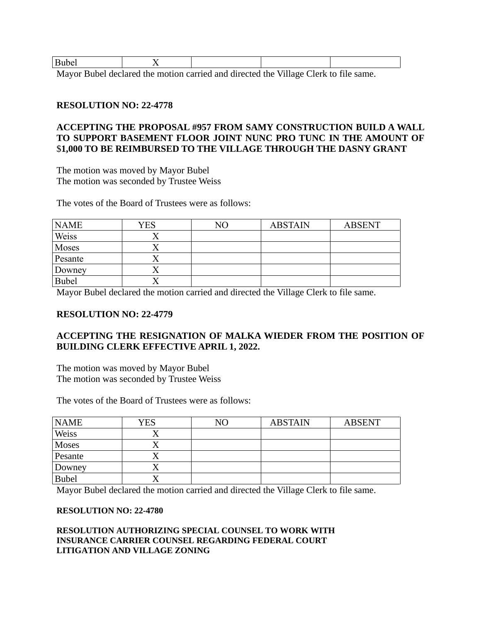| -----<br>- - - - - |                          |     |  |   |              |        |  |
|--------------------|--------------------------|-----|--|---|--------------|--------|--|
| - -                | $\overline{\phantom{a}}$ | . . |  | . | 7.711<br>. . | $\sim$ |  |

Mayor Bubel declared the motion carried and directed the Village Clerk to file same.

# **RESOLUTION NO: 22-4778**

# **ACCEPTING THE PROPOSAL #957 FROM SAMY CONSTRUCTION BUILD A WALL TO SUPPORT BASEMENT FLOOR JOINT NUNC PRO TUNC IN THE AMOUNT OF**  \$**1,000 TO BE REIMBURSED TO THE VILLAGE THROUGH THE DASNY GRANT**

The motion was moved by Mayor Bubel The motion was seconded by Trustee Weiss

The votes of the Board of Trustees were as follows:

| <b>NAME</b>  | <b>YES</b> | NО | <b>ABSTAIN</b> | <b>ABSENT</b> |
|--------------|------------|----|----------------|---------------|
| Weiss        |            |    |                |               |
| Moses        |            |    |                |               |
| Pesante      |            |    |                |               |
| Downey       |            |    |                |               |
| <b>Bubel</b> |            |    |                |               |

Mayor Bubel declared the motion carried and directed the Village Clerk to file same.

### **RESOLUTION NO: 22-4779**

# **ACCEPTING THE RESIGNATION OF MALKA WIEDER FROM THE POSITION OF BUILDING CLERK EFFECTIVE APRIL 1, 2022.**

The motion was moved by Mayor Bubel The motion was seconded by Trustee Weiss

The votes of the Board of Trustees were as follows:

| <b>NAME</b>  | YES | NO | <b>ABSTAIN</b> | <b>ABSENT</b> |
|--------------|-----|----|----------------|---------------|
| Weiss        |     |    |                |               |
| <b>Moses</b> |     |    |                |               |
| Pesante      |     |    |                |               |
| Downey       |     |    |                |               |
| <b>Bubel</b> |     |    |                |               |

Mayor Bubel declared the motion carried and directed the Village Clerk to file same.

#### **RESOLUTION NO: 22-4780**

## **RESOLUTION AUTHORIZING SPECIAL COUNSEL TO WORK WITH INSURANCE CARRIER COUNSEL REGARDING FEDERAL COURT LITIGATION AND VILLAGE ZONING**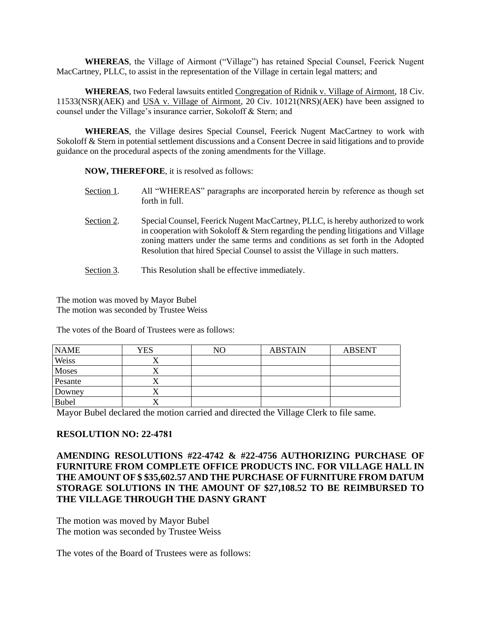**WHEREAS**, the Village of Airmont ("Village") has retained Special Counsel, Feerick Nugent MacCartney, PLLC, to assist in the representation of the Village in certain legal matters; and

**WHEREAS**, two Federal lawsuits entitled Congregation of Ridnik v. Village of Airmont, 18 Civ. 11533(NSR)(AEK) and USA v. Village of Airmont, 20 Civ. 10121(NRS)(AEK) have been assigned to counsel under the Village's insurance carrier, Sokoloff & Stern; and

**WHEREAS**, the Village desires Special Counsel, Feerick Nugent MacCartney to work with Sokoloff & Stern in potential settlement discussions and a Consent Decree in said litigations and to provide guidance on the procedural aspects of the zoning amendments for the Village.

**NOW, THEREFORE**, it is resolved as follows:

- Section 1. All "WHEREAS" paragraphs are incorporated herein by reference as though set forth in full.
- Section 2. Special Counsel, Feerick Nugent MacCartney, PLLC, is hereby authorized to work in cooperation with Sokoloff & Stern regarding the pending litigations and Village zoning matters under the same terms and conditions as set forth in the Adopted Resolution that hired Special Counsel to assist the Village in such matters.
- Section 3. This Resolution shall be effective immediately.

The motion was moved by Mayor Bubel The motion was seconded by Trustee Weiss

The votes of the Board of Trustees were as follows:

| <b>NAME</b>  | <b>YES</b> | NΟ | <b>ABSTAIN</b> | <b>ABSENT</b> |
|--------------|------------|----|----------------|---------------|
| Weiss        |            |    |                |               |
| Moses        |            |    |                |               |
| Pesante      |            |    |                |               |
| Downey       |            |    |                |               |
| <b>Bubel</b> |            |    |                |               |

Mayor Bubel declared the motion carried and directed the Village Clerk to file same.

### **RESOLUTION NO: 22-4781**

**AMENDING RESOLUTIONS #22-4742 & #22-4756 AUTHORIZING PURCHASE OF FURNITURE FROM COMPLETE OFFICE PRODUCTS INC. FOR VILLAGE HALL IN THE AMOUNT OF \$ \$35,602.57 AND THE PURCHASE OF FURNITURE FROM DATUM STORAGE SOLUTIONS IN THE AMOUNT OF \$27,108.52 TO BE REIMBURSED TO THE VILLAGE THROUGH THE DASNY GRANT** 

The motion was moved by Mayor Bubel The motion was seconded by Trustee Weiss

The votes of the Board of Trustees were as follows: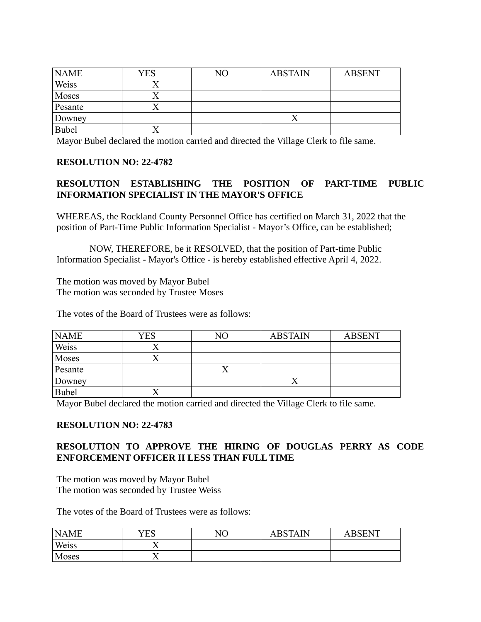| <b>NAME</b>  | YES | NΟ | <b>ABSTAIN</b> | <b>ABSENT</b> |
|--------------|-----|----|----------------|---------------|
| Weiss        |     |    |                |               |
| Moses        |     |    |                |               |
| Pesante      |     |    |                |               |
| Downey       |     |    |                |               |
| <b>Bubel</b> |     |    |                |               |

Mayor Bubel declared the motion carried and directed the Village Clerk to file same.

# **RESOLUTION NO: 22-4782**

# **RESOLUTION ESTABLISHING THE POSITION OF PART-TIME PUBLIC INFORMATION SPECIALIST IN THE MAYOR'S OFFICE**

WHEREAS, the Rockland County Personnel Office has certified on March 31, 2022 that the position of Part-Time Public Information Specialist - Mayor's Office, can be established;

NOW, THEREFORE, be it RESOLVED, that the position of Part-time Public Information Specialist - Mayor's Office - is hereby established effective April 4, 2022.

The motion was moved by Mayor Bubel The motion was seconded by Trustee Moses

The votes of the Board of Trustees were as follows:

| <b>NAME</b>  | <b>YES</b> | NΟ | <b>ABSTAIN</b> | <b>ABSENT</b> |
|--------------|------------|----|----------------|---------------|
| Weiss        |            |    |                |               |
| Moses        |            |    |                |               |
| Pesante      |            |    |                |               |
| Downey       |            |    |                |               |
| <b>Bubel</b> |            |    |                |               |

Mayor Bubel declared the motion carried and directed the Village Clerk to file same.

# **RESOLUTION NO: 22-4783**

# **RESOLUTION TO APPROVE THE HIRING OF DOUGLAS PERRY AS CODE ENFORCEMENT OFFICER II LESS THAN FULL TIME**

The motion was moved by Mayor Bubel The motion was seconded by Trustee Weiss

The votes of the Board of Trustees were as follows:

| <b>NAME</b> | YES | NO | ABSTAIN | <b>RSENT</b><br>А |
|-------------|-----|----|---------|-------------------|
| Weiss       |     |    |         |                   |
| Moses       |     |    |         |                   |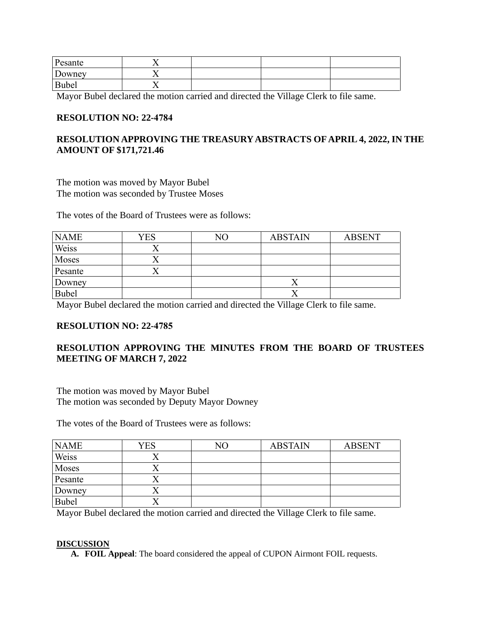| Pesante      |  |  |
|--------------|--|--|
| Downey       |  |  |
| <b>Bubel</b> |  |  |

Mayor Bubel declared the motion carried and directed the Village Clerk to file same.

## **RESOLUTION NO: 22-4784**

# **RESOLUTION APPROVING THE TREASURY ABSTRACTS OF APRIL 4, 2022, IN THE AMOUNT OF \$171,721.46**

The motion was moved by Mayor Bubel The motion was seconded by Trustee Moses

The votes of the Board of Trustees were as follows:

| <b>NAME</b>  | YES | NO | <b>ABSTAIN</b> | <b>ABSENT</b> |
|--------------|-----|----|----------------|---------------|
| Weiss        |     |    |                |               |
| Moses        |     |    |                |               |
| Pesante      |     |    |                |               |
| Downey       |     |    |                |               |
| <b>Bubel</b> |     |    |                |               |

Mayor Bubel declared the motion carried and directed the Village Clerk to file same.

## **RESOLUTION NO: 22-4785**

# **RESOLUTION APPROVING THE MINUTES FROM THE BOARD OF TRUSTEES MEETING OF MARCH 7, 2022**

The motion was moved by Mayor Bubel The motion was seconded by Deputy Mayor Downey

The votes of the Board of Trustees were as follows:

| <b>NAME</b>  | YES | NO | <b>ABSTAIN</b> | <b>ABSENT</b> |
|--------------|-----|----|----------------|---------------|
| Weiss        |     |    |                |               |
| Moses        |     |    |                |               |
| Pesante      |     |    |                |               |
| Downey       |     |    |                |               |
| <b>Bubel</b> |     |    |                |               |

Mayor Bubel declared the motion carried and directed the Village Clerk to file same.

### **DISCUSSION**

**A. FOIL Appeal**: The board considered the appeal of CUPON Airmont FOIL requests.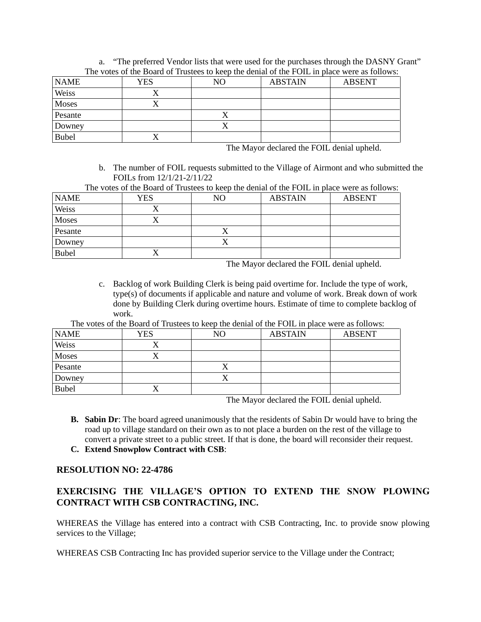| The Voics of the Dourd of Trustees to Reep the achial of the FOTD in place were as follows. |     |    |                |               |  |
|---------------------------------------------------------------------------------------------|-----|----|----------------|---------------|--|
| <b>NAME</b>                                                                                 | YES | NO | <b>ABSTAIN</b> | <b>ABSENT</b> |  |
| Weiss                                                                                       |     |    |                |               |  |
| Moses                                                                                       |     |    |                |               |  |
| Pesante                                                                                     |     |    |                |               |  |
| Downey                                                                                      |     |    |                |               |  |
| <b>Bubel</b>                                                                                |     |    |                |               |  |

a. "The preferred Vendor lists that were used for the purchases through the DASNY Grant" The votes of the Board of Trustees to keep the denial of the FOIL in place were as follows:

The Mayor declared the FOIL denial upheld.

b. The number of FOIL requests submitted to the Village of Airmont and who submitted the FOILs from  $12/1/21-2/11/22$ <br>res of the Board of Trustees to <sup>1</sup>  $T \mapsto T \cdot \mathbb{C}$  the Board of the Board of the FOIL in place were as follows:

|  |  | $\Lambda$ DOTA INT | ADCHIM                                                                                      |  |
|--|--|--------------------|---------------------------------------------------------------------------------------------|--|
|  |  |                    | The votes of the Board of Trustees to keep the denial of the FOIL in place were as follows: |  |

| <b>NAME</b>  | <b>YES</b> | NO | <b>ABSTAIN</b> | <b>ABSENT</b> |
|--------------|------------|----|----------------|---------------|
| Weiss        |            |    |                |               |
| Moses        |            |    |                |               |
| Pesante      |            |    |                |               |
| Downey       |            |    |                |               |
| <b>Bubel</b> | △          |    |                |               |

The Mayor declared the FOIL denial upheld.

c. Backlog of work Building Clerk is being paid overtime for. Include the type of work, type(s) of documents if applicable and nature and volume of work. Break down of work done by Building Clerk during overtime hours. Estimate of time to complete backlog of work.

The votes of the Board of Trustees to keep the denial of the FOIL in place were as follows:

| <b>NAME</b>  | <b>YES</b> | NO | <b>ABSTAIN</b> | <b>ABSENT</b> |
|--------------|------------|----|----------------|---------------|
| Weiss        |            |    |                |               |
| <b>Moses</b> |            |    |                |               |
| Pesante      |            |    |                |               |
| Downey       |            |    |                |               |
| <b>Bubel</b> | ∡          |    |                |               |

The Mayor declared the FOIL denial upheld.

- **B. Sabin Dr**: The board agreed unanimously that the residents of Sabin Dr would have to bring the road up to village standard on their own as to not place a burden on the rest of the village to convert a private street to a public street. If that is done, the board will reconsider their request.
- **C. Extend Snowplow Contract with CSB**:

## **RESOLUTION NO: 22-4786**

# **EXERCISING THE VILLAGE'S OPTION TO EXTEND THE SNOW PLOWING CONTRACT WITH CSB CONTRACTING, INC.**

WHEREAS the Village has entered into a contract with CSB Contracting, Inc. to provide snow plowing services to the Village;

WHEREAS CSB Contracting Inc has provided superior service to the Village under the Contract;